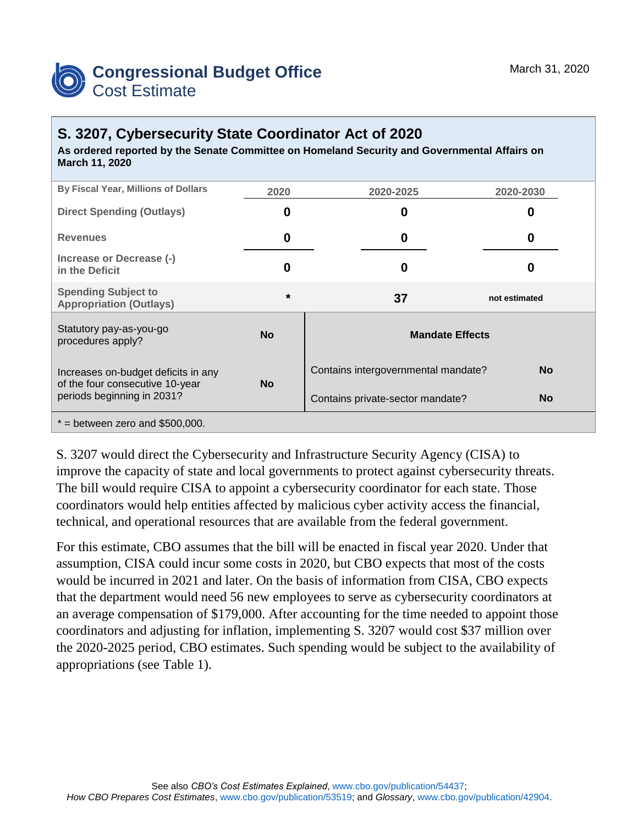

## **S. 3207, Cybersecurity State Coordinator Act of 2020**

**As ordered reported by the Senate Committee on Homeland Security and Governmental Affairs on March 11, 2020**

| By Fiscal Year, Millions of Dollars                                                                  | 2020      | 2020-2025                           | 2020-2030     |  |  |
|------------------------------------------------------------------------------------------------------|-----------|-------------------------------------|---------------|--|--|
| <b>Direct Spending (Outlays)</b>                                                                     | O         | 0                                   | O             |  |  |
| <b>Revenues</b>                                                                                      | 0         | 0                                   | O             |  |  |
| Increase or Decrease (-)<br>in the Deficit                                                           | 0         | 0                                   |               |  |  |
| <b>Spending Subject to</b><br><b>Appropriation (Outlays)</b>                                         | $\star$   | 37                                  | not estimated |  |  |
| Statutory pay-as-you-go<br>procedures apply?                                                         | <b>No</b> | <b>Mandate Effects</b>              |               |  |  |
| Increases on-budget deficits in any<br>of the four consecutive 10-year<br>periods beginning in 2031? | <b>No</b> | Contains intergovernmental mandate? | <b>No</b>     |  |  |
|                                                                                                      |           | Contains private-sector mandate?    | <b>No</b>     |  |  |
| $*$ = between zero and \$500,000.                                                                    |           |                                     |               |  |  |

S. 3207 would direct the Cybersecurity and Infrastructure Security Agency (CISA) to improve the capacity of state and local governments to protect against cybersecurity threats. The bill would require CISA to appoint a cybersecurity coordinator for each state. Those coordinators would help entities affected by malicious cyber activity access the financial, technical, and operational resources that are available from the federal government.

For this estimate, CBO assumes that the bill will be enacted in fiscal year 2020. Under that assumption, CISA could incur some costs in 2020, but CBO expects that most of the costs would be incurred in 2021 and later. On the basis of information from CISA, CBO expects that the department would need 56 new employees to serve as cybersecurity coordinators at an average compensation of \$179,000. After accounting for the time needed to appoint those coordinators and adjusting for inflation, implementing S. 3207 would cost \$37 million over the 2020-2025 period, CBO estimates. Such spending would be subject to the availability of appropriations (see Table 1).